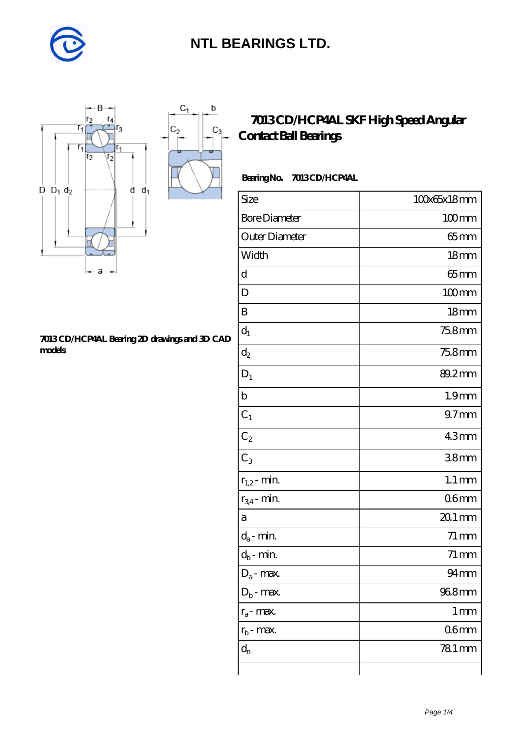

 $\mathbf b$ 

 $C_3$ 



#### **[7013 CD/HCP4AL Bearing 2D drawings and 3D CAD](https://m.diabetesfriends.net/pic-590711.html) [models](https://m.diabetesfriends.net/pic-590711.html)**

### **[7013 CD/HCP4AL SKF High Speed Angular](https://m.diabetesfriends.net/skf-bearing/7013-cd-hcp4al.html) [Contact Ball Bearings](https://m.diabetesfriends.net/skf-bearing/7013-cd-hcp4al.html)**

### **Bearing No. 7013 CD/HCP4AL**

| Size                 | 100x65x18mm         |
|----------------------|---------------------|
| <b>Bore Diameter</b> | $100$ mm            |
| Outer Diameter       | 65 mm               |
| Width                | 18 <sub>mm</sub>    |
| d                    | $65$ mm             |
| D                    | $100$ mm            |
| B                    | 18 <sub>mm</sub>    |
| $d_1$                | 75.8mm              |
| $d_2$                | 75.8mm              |
| $\mathbf{D}_1$       | 89.2mm              |
| $\mathbf b$          | 1.9 <sub>mm</sub>   |
| $C_1$                | 97 <sub>mm</sub>    |
| $C_2$                | 43mm                |
| $C_3$                | 38 <sub>mm</sub>    |
| $r_{1,2}$ - min.     | $1.1 \,\mathrm{mm}$ |
| $r_{34}$ - min.      | 06mm                |
| а                    | $201$ mm            |
| $d_a$ - min.         | $71 \,\mathrm{mm}$  |
| $d_b$ - min.         | $71 \,\mathrm{mm}$  |
| $D_a$ - max.         | 94mm                |
| $D_b$ - max.         | 968mm               |
| $r_a$ - max.         | $1 \,\mathrm{mm}$   |
| $r_{b}$ - max.       | 06mm                |
| $d_{n}$              | 781 mm              |
|                      |                     |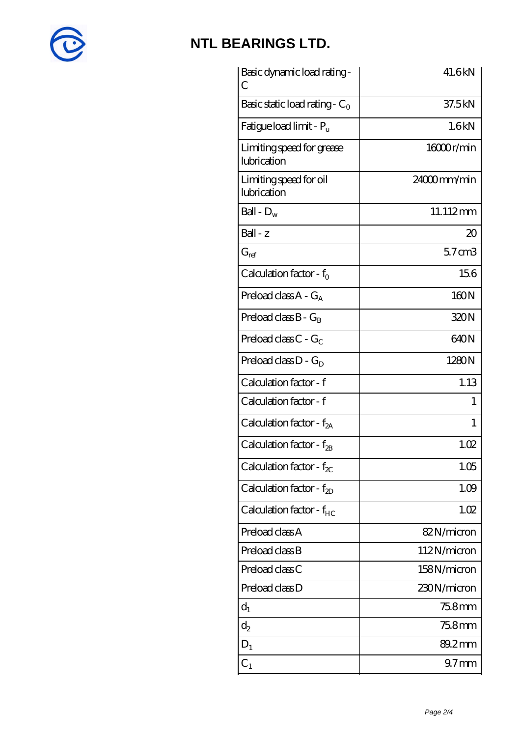

| Basic dynamic load rating -<br>C         | 41.6kN           |
|------------------------------------------|------------------|
| Basic static load rating - $C_0$         | 37.5kN           |
| Fatigue load limit - P <sub>u</sub>      | 1.6kN            |
| Limiting speed for grease<br>lubrication | 16000r/min       |
| Limiting speed for oil<br>lubrication    | 24000mm/min      |
| Ball - $D_w$                             | 11.112mm         |
| Ball - z                                 | $\infty$         |
| $G_{ref}$                                | $57$ cm $3$      |
| Calculation factor - $f_0$               | 156              |
| Preload class $A - G_A$                  | 160N             |
| Preload class $B - G_B$                  | 320N             |
| Preload class $C - G_C$                  | 640N             |
| Preload class $D - G_D$                  | 1280N            |
| Calculation factor - f                   | 1.13             |
| Calculation factor - f                   | 1                |
| Calculation factor - f <sub>2A</sub>     | 1                |
| Calculation factor - $f_{2B}$            | 1.02             |
| Calculation factor - $f_{\chi}$          | 1.05             |
| Calculation factor - $f_{ZD}$            | 1.09             |
| Calculation factor - $f_{HC}$            | 1.02             |
| Preload class A                          | 82N/micron       |
| Preload class B                          | 112N/micron      |
| Preload class C                          | 158N/micron      |
| Preload class D                          | 230N/micron      |
| $d_1$                                    | 75.8mm           |
| $\mathrm{d}_2$                           | 75.8mm           |
| $D_1$                                    | 89.2mm           |
| $C_{1}$                                  | 97 <sub>mm</sub> |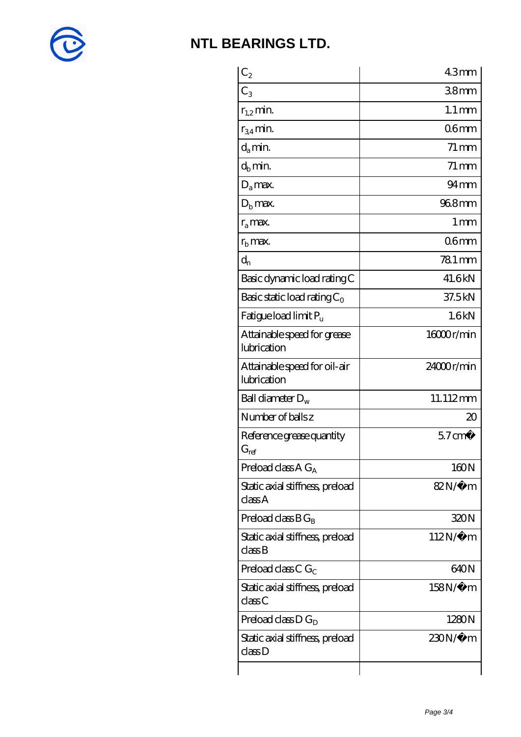

| $C_2$                                       | 43mm                |
|---------------------------------------------|---------------------|
| $C_3$                                       | 38 <sub>mm</sub>    |
| $r_{1,2}$ min.                              | $1.1 \,\mathrm{mm}$ |
| $r_{34}$ min.                               | 06 <sub>mm</sub>    |
| $d_{a}$ min.                                | $71 \,\mathrm{mm}$  |
| $d_h$ min.                                  | $71 \,\mathrm{mm}$  |
| $D_a$ max.                                  | $94 \text{mm}$      |
| $Db$ max.                                   | 968mm               |
| $r_a$ max.                                  | $1 \,\mathrm{mm}$   |
| $rb$ max.                                   | 06 <sub>mm</sub>    |
| $d_{n}$                                     | 78.1 mm             |
| Basic dynamic load rating C                 | 41.6kN              |
| Basic static load rating $C_0$              | 37.5kN              |
| Fatigue load limit P <sub>u</sub>           | 1.6kN               |
| Attainable speed for grease<br>lubrication  | 16000r/min          |
| Attainable speed for oil-air<br>lubrication | 24000r/min          |
| Ball diameter $D_w$                         | 11.112mm            |
| Number of balls z                           | $\infty$            |
| Reference grease quantity<br>$G_{ref}$      | $57 \text{ cm}^3$   |
| Preload class $A G_A$                       | 160N                |
| Static axial stiffness, preload<br>classA   | 82N/μ m             |
| Preload class $BG_B$                        | 320N                |
| Static axial stiffness, preload<br>classB   | $112N/\mu$ m        |
| Preload class C $G_C$                       | 640N                |
| Static axial stiffness, preload<br>classC   | 158N/μ m            |
| Preload class D $G_D$                       | 1280N               |
| Static axial stiffness, preload<br>classD   | $230N/\mu$ m        |
|                                             |                     |